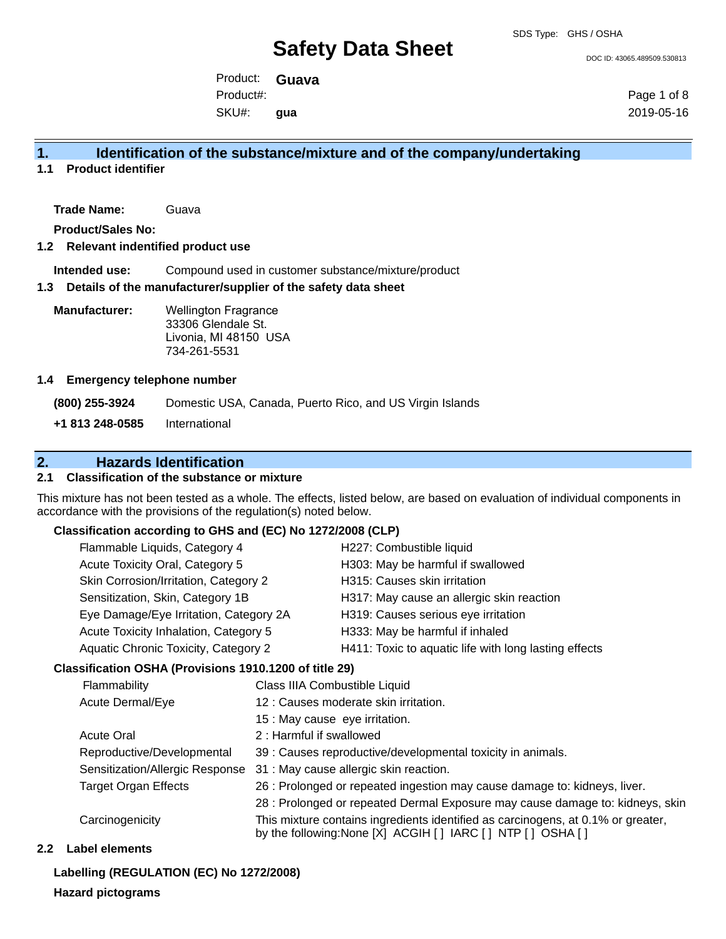DOC ID: 43065.489509.530813

Product: **Guava** SKU#: Product#: **gua**

Page 1 of 8 2019-05-16

# **1. Identification of the substance/mixture and of the company/undertaking**

**1.1 Product identifier**

**Trade Name:** Guava

**Product/Sales No:**

### **1.2 Relevant indentified product use**

**Intended use:** Compound used in customer substance/mixture/product

#### **1.3 Details of the manufacturer/supplier of the safety data sheet**

**Manufacturer:** Wellington Fragrance 33306 Glendale St. Livonia, MI 48150 USA 734-261-5531

#### **1.4 Emergency telephone number**

**(800) 255-3924** Domestic USA, Canada, Puerto Rico, and US Virgin Islands **+1 813 248-0585** International

# **2. Hazards Identification**

### **2.1 Classification of the substance or mixture**

This mixture has not been tested as a whole. The effects, listed below, are based on evaluation of individual components in accordance with the provisions of the regulation(s) noted below.

### **Classification according to GHS and (EC) No 1272/2008 (CLP)**

| Flammable Liquids, Category 4          | H227: Combustible liquid                              |
|----------------------------------------|-------------------------------------------------------|
| Acute Toxicity Oral, Category 5        | H303: May be harmful if swallowed                     |
| Skin Corrosion/Irritation, Category 2  | H315: Causes skin irritation                          |
| Sensitization, Skin, Category 1B       | H317: May cause an allergic skin reaction             |
| Eye Damage/Eye Irritation, Category 2A | H319: Causes serious eye irritation                   |
| Acute Toxicity Inhalation, Category 5  | H333: May be harmful if inhaled                       |
| Aquatic Chronic Toxicity, Category 2   | H411: Toxic to aquatic life with long lasting effects |
|                                        |                                                       |

### **Classification OSHA (Provisions 1910.1200 of title 29)**

|                  | Flammability                    | Class IIIA Combustible Liquid                                                                                                                      |
|------------------|---------------------------------|----------------------------------------------------------------------------------------------------------------------------------------------------|
| Acute Dermal/Eye |                                 | 12 : Causes moderate skin irritation.                                                                                                              |
|                  |                                 | 15 : May cause eye irritation.                                                                                                                     |
|                  | <b>Acute Oral</b>               | 2: Harmful if swallowed                                                                                                                            |
|                  | Reproductive/Developmental      | 39 : Causes reproductive/developmental toxicity in animals.                                                                                        |
|                  | Sensitization/Allergic Response | 31 : May cause allergic skin reaction.                                                                                                             |
|                  | <b>Target Organ Effects</b>     | 26 : Prolonged or repeated ingestion may cause damage to: kidneys, liver.                                                                          |
|                  |                                 | 28 : Prolonged or repeated Dermal Exposure may cause damage to: kidneys, skin                                                                      |
|                  | Carcinogenicity                 | This mixture contains ingredients identified as carcinogens, at 0.1% or greater,<br>by the following: None [X] ACGIH [ ] IARC [ ] NTP [ ] OSHA [ ] |

### **2.2 Label elements**

**Labelling (REGULATION (EC) No 1272/2008)**

### **Hazard pictograms**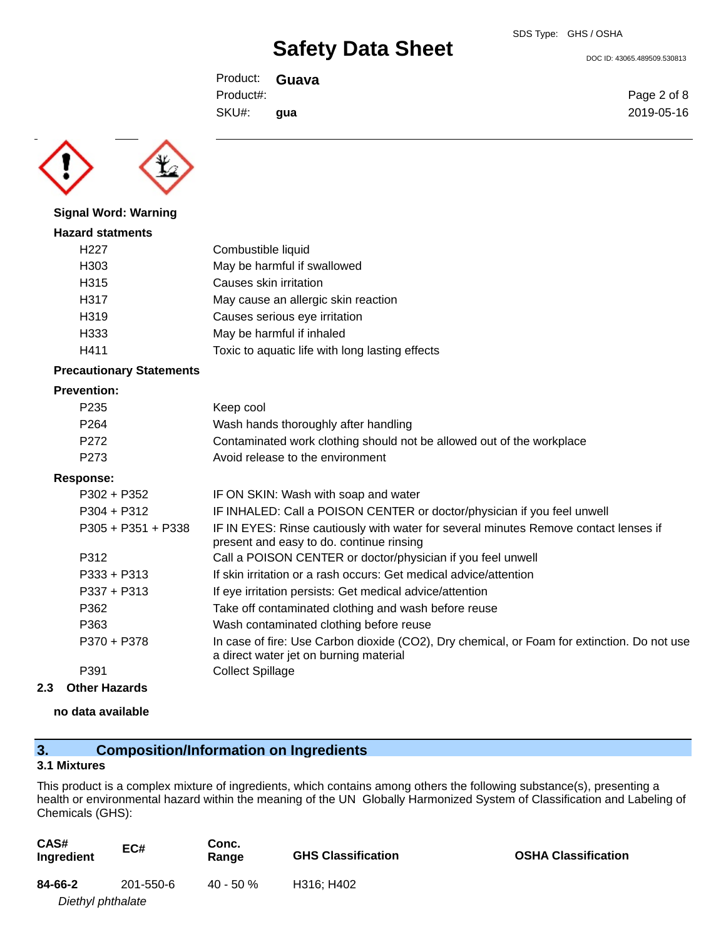DOC ID: 43065.489509.530813

Page 2 of 8 2019-05-16

Product: **Guava** SKU#: Product#: **gua**



# **Signal Word: Warning Hazard statments**

| αι νι οιαιπισπιο  |                                                 |
|-------------------|-------------------------------------------------|
| H <sub>22</sub> 7 | Combustible liquid                              |
| H <sub>303</sub>  | May be harmful if swallowed                     |
| H315              | Causes skin irritation                          |
| H317              | May cause an allergic skin reaction             |
| H319              | Causes serious eye irritation                   |
| H333              | May be harmful if inhaled                       |
| H411              | Toxic to aquatic life with long lasting effects |

### **Precautionary Statements**

### **Prevention:**

| P <sub>235</sub> | Keep cool                                                             |
|------------------|-----------------------------------------------------------------------|
| P <sub>264</sub> | Wash hands thoroughly after handling                                  |
| P <sub>272</sub> | Contaminated work clothing should not be allowed out of the workplace |
| P <sub>273</sub> | Avoid release to the environment                                      |

### **Response:**

| $P302 + P352$        | IF ON SKIN: Wash with soap and water                                                                                                  |
|----------------------|---------------------------------------------------------------------------------------------------------------------------------------|
| $P304 + P312$        | IF INHALED: Call a POISON CENTER or doctor/physician if you feel unwell                                                               |
| $P305 + P351 + P338$ | IF IN EYES: Rinse cautiously with water for several minutes Remove contact lenses if<br>present and easy to do. continue rinsing      |
| P312                 | Call a POISON CENTER or doctor/physician if you feel unwell                                                                           |
| $P333 + P313$        | If skin irritation or a rash occurs: Get medical advice/attention                                                                     |
| $P337 + P313$        | If eye irritation persists: Get medical advice/attention                                                                              |
| P362                 | Take off contaminated clothing and wash before reuse                                                                                  |
| P363                 | Wash contaminated clothing before reuse                                                                                               |
| P370 + P378          | In case of fire: Use Carbon dioxide (CO2), Dry chemical, or Foam for extinction. Do not use<br>a direct water jet on burning material |
| P391                 | <b>Collect Spillage</b>                                                                                                               |
|                      |                                                                                                                                       |

## **2.3 Other Hazards**

### **no data available**

# **3. Composition/Information on Ingredients**

### **3.1 Mixtures**

This product is a complex mixture of ingredients, which contains among others the following substance(s), presenting a health or environmental hazard within the meaning of the UN Globally Harmonized System of Classification and Labeling of Chemicals (GHS):

| CAS#<br>Ingredient | EC#       | Conc.<br>Range | <b>GHS Classification</b> | <b>OSHA Classification</b> |
|--------------------|-----------|----------------|---------------------------|----------------------------|
| 84-66-2            | 201-550-6 | $40 - 50 \%$   | H316: H402                |                            |
| Diethyl phthalate  |           |                |                           |                            |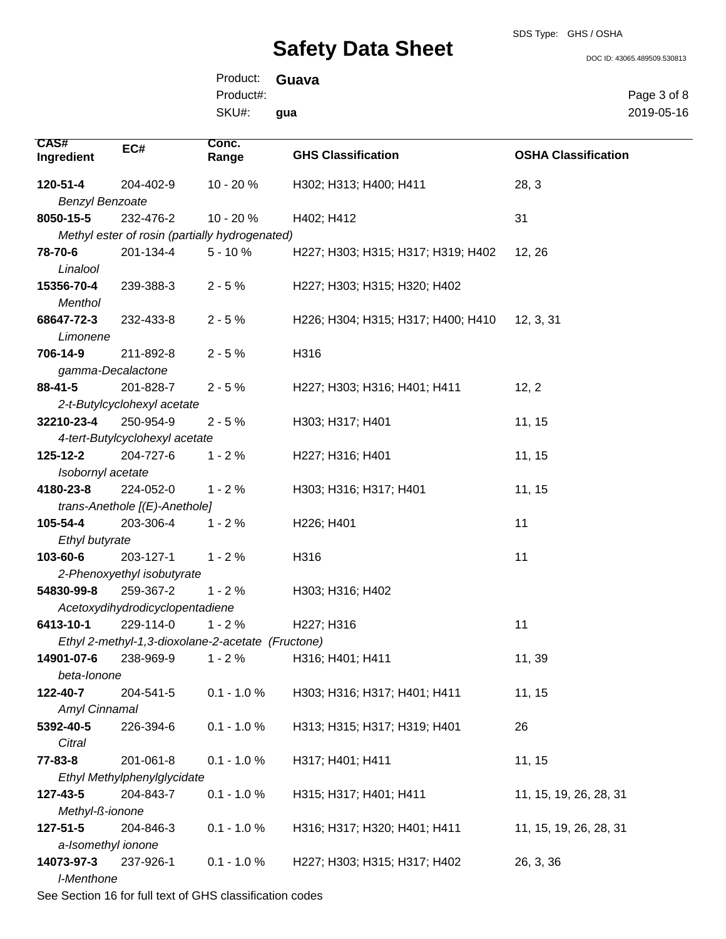SDS Type: GHS / OSHA

DOC ID: 43065.489509.530813

Product: **Guava** SKU#: Product#: **gua**

Page 3 of 8 2019-05-16

| CAS#                   | EC#                             | Conc.                                             | <b>GHS Classification</b>           | <b>OSHA Classification</b> |
|------------------------|---------------------------------|---------------------------------------------------|-------------------------------------|----------------------------|
| Ingredient             |                                 | Range                                             |                                     |                            |
| 120-51-4               | 204-402-9                       | 10 - 20 %                                         | H302; H313; H400; H411              | 28, 3                      |
| <b>Benzyl Benzoate</b> |                                 |                                                   |                                     |                            |
| 8050-15-5              | 232-476-2                       | 10 - 20 %                                         | H402; H412                          | 31                         |
|                        |                                 | Methyl ester of rosin (partially hydrogenated)    |                                     |                            |
| 78-70-6                | 201-134-4                       | $5 - 10%$                                         | H227; H303; H315; H317; H319; H402  | 12, 26                     |
| Linalool               |                                 |                                                   |                                     |                            |
| 15356-70-4             | 239-388-3                       | $2 - 5%$                                          | H227; H303; H315; H320; H402        |                            |
| <b>Menthol</b>         |                                 |                                                   |                                     |                            |
| 68647-72-3             | 232-433-8                       | $2 - 5%$                                          | H226; H304; H315; H317; H400; H410  | 12, 3, 31                  |
| Limonene               |                                 |                                                   |                                     |                            |
| 706-14-9               | 211-892-8                       | $2 - 5%$                                          | H316                                |                            |
| gamma-Decalactone      |                                 |                                                   |                                     |                            |
| 88-41-5                | 201-828-7                       | $2 - 5%$                                          | H227; H303; H316; H401; H411        | 12, 2                      |
|                        | 2-t-Butylcyclohexyl acetate     |                                                   |                                     |                            |
| 32210-23-4             | 250-954-9                       | $2 - 5%$                                          | H303; H317; H401                    | 11, 15                     |
|                        | 4-tert-Butylcyclohexyl acetate  |                                                   |                                     |                            |
| 125-12-2               | 204-727-6                       | $1 - 2%$                                          | H227; H316; H401                    | 11, 15                     |
| Isobornyl acetate      |                                 |                                                   |                                     |                            |
| 4180-23-8              | 224-052-0                       | $1 - 2%$                                          | H303; H316; H317; H401              | 11, 15                     |
|                        | trans-Anethole [(E)-Anethole]   |                                                   |                                     |                            |
| 105-54-4               | 203-306-4                       | $1 - 2%$                                          | H226; H401                          | 11                         |
| Ethyl butyrate         |                                 |                                                   |                                     |                            |
| 103-60-6               | 203-127-1                       | $1 - 2%$                                          | H316                                | 11                         |
|                        | 2-Phenoxyethyl isobutyrate      |                                                   |                                     |                            |
| 54830-99-8             | 259-367-2                       | $1 - 2%$                                          | H303; H316; H402                    |                            |
|                        | Acetoxydihydrodicyclopentadiene |                                                   |                                     |                            |
| 6413-10-1              | 229-114-0                       | $1 - 2%$                                          | H <sub>227</sub> ; H <sub>316</sub> | 11                         |
|                        |                                 | Ethyl 2-methyl-1,3-dioxolane-2-acetate (Fructone) |                                     |                            |
| 14901-07-6             | 238-969-9                       | $1 - 2%$                                          | H316; H401; H411                    | 11, 39                     |
| beta-Ionone            |                                 |                                                   |                                     |                            |
| 122-40-7               | 204-541-5                       | $0.1 - 1.0 %$                                     | H303; H316; H317; H401; H411        | 11, 15                     |
| Amyl Cinnamal          |                                 |                                                   |                                     |                            |
| 5392-40-5              | 226-394-6                       | $0.1 - 1.0 %$                                     | H313; H315; H317; H319; H401        | 26                         |
| Citral                 |                                 |                                                   |                                     |                            |
| 77-83-8                | 201-061-8                       | $0.1 - 1.0 %$                                     | H317; H401; H411                    | 11, 15                     |
|                        | Ethyl Methylphenylglycidate     |                                                   |                                     |                            |
| 127-43-5               | 204-843-7                       | $0.1 - 1.0 %$                                     | H315; H317; H401; H411              | 11, 15, 19, 26, 28, 31     |
| Methyl-ß-ionone        |                                 |                                                   |                                     |                            |
| 127-51-5               | 204-846-3                       | $0.1 - 1.0 %$                                     | H316; H317; H320; H401; H411        | 11, 15, 19, 26, 28, 31     |
| a-Isomethyl ionone     |                                 |                                                   |                                     |                            |
| 14073-97-3             | 237-926-1                       | $0.1 - 1.0 %$                                     | H227; H303; H315; H317; H402        | 26, 3, 36                  |
| I-Menthone             |                                 |                                                   |                                     |                            |

See Section 16 for full text of GHS classification codes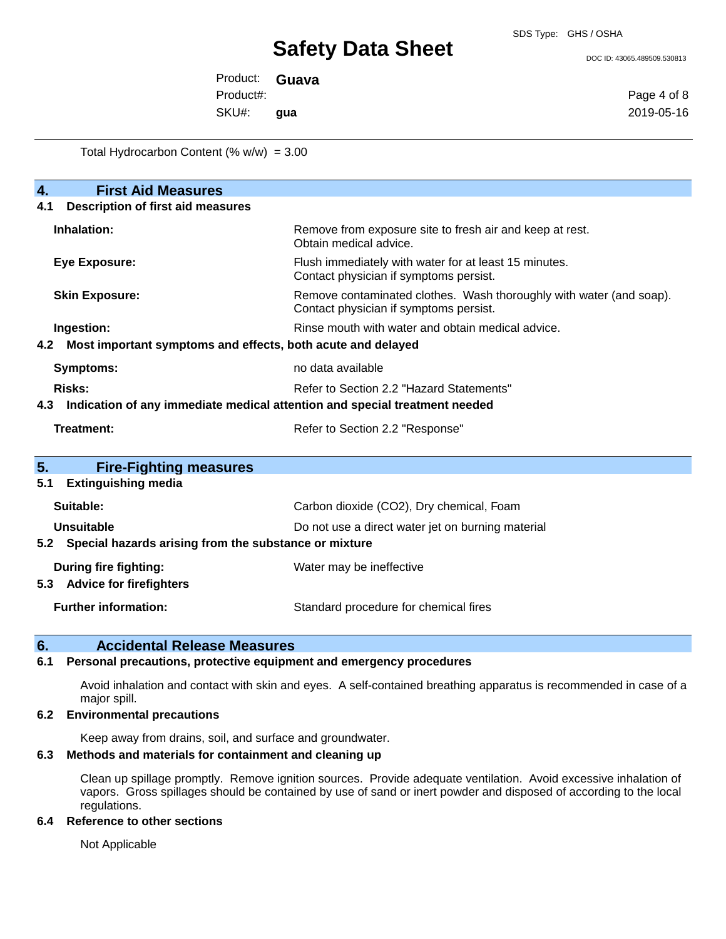SDS Type: GHS / OSHA

DOC ID: 43065.489509.530813

Product: **Guava** SKU#: Product#: **gua**

Page 4 of 8 2019-05-16

Total Hydrocarbon Content  $(\% w/w) = 3.00$ 

| 4.                                              | <b>First Aid Measures</b>                                                  |                                                                                                               |  |  |
|-------------------------------------------------|----------------------------------------------------------------------------|---------------------------------------------------------------------------------------------------------------|--|--|
| <b>Description of first aid measures</b><br>4.1 |                                                                            |                                                                                                               |  |  |
|                                                 | Inhalation:                                                                | Remove from exposure site to fresh air and keep at rest.<br>Obtain medical advice.                            |  |  |
| <b>Eye Exposure:</b>                            |                                                                            | Flush immediately with water for at least 15 minutes.<br>Contact physician if symptoms persist.               |  |  |
|                                                 | <b>Skin Exposure:</b>                                                      | Remove contaminated clothes. Wash thoroughly with water (and soap).<br>Contact physician if symptoms persist. |  |  |
|                                                 | Ingestion:                                                                 | Rinse mouth with water and obtain medical advice.                                                             |  |  |
| 4.2                                             | Most important symptoms and effects, both acute and delayed                |                                                                                                               |  |  |
|                                                 | <b>Symptoms:</b>                                                           | no data available                                                                                             |  |  |
|                                                 | Risks:<br>Refer to Section 2.2 "Hazard Statements"                         |                                                                                                               |  |  |
| 4.3                                             | Indication of any immediate medical attention and special treatment needed |                                                                                                               |  |  |
|                                                 | <b>Treatment:</b>                                                          | Refer to Section 2.2 "Response"                                                                               |  |  |
| 5.                                              | <b>Fire-Fighting measures</b>                                              |                                                                                                               |  |  |
| 5.1                                             | <b>Extinguishing media</b>                                                 |                                                                                                               |  |  |
|                                                 | Suitable:                                                                  | Carbon dioxide (CO2), Dry chemical, Foam                                                                      |  |  |
|                                                 | Unsuitable                                                                 | Do not use a direct water jet on burning material                                                             |  |  |
|                                                 | Special hazards arising from the substance or mixture                      |                                                                                                               |  |  |
| 5.3                                             | <b>During fire fighting:</b><br><b>Advice for firefighters</b>             | Water may be ineffective                                                                                      |  |  |
|                                                 | <b>Further information:</b>                                                | Standard procedure for chemical fires                                                                         |  |  |

**6. Accidental Release Measures**

## **6.1 Personal precautions, protective equipment and emergency procedures**

Avoid inhalation and contact with skin and eyes. A self-contained breathing apparatus is recommended in case of a major spill.

### **6.2 Environmental precautions**

Keep away from drains, soil, and surface and groundwater.

### **6.3 Methods and materials for containment and cleaning up**

Clean up spillage promptly. Remove ignition sources. Provide adequate ventilation. Avoid excessive inhalation of vapors. Gross spillages should be contained by use of sand or inert powder and disposed of according to the local regulations.

### **6.4 Reference to other sections**

Not Applicable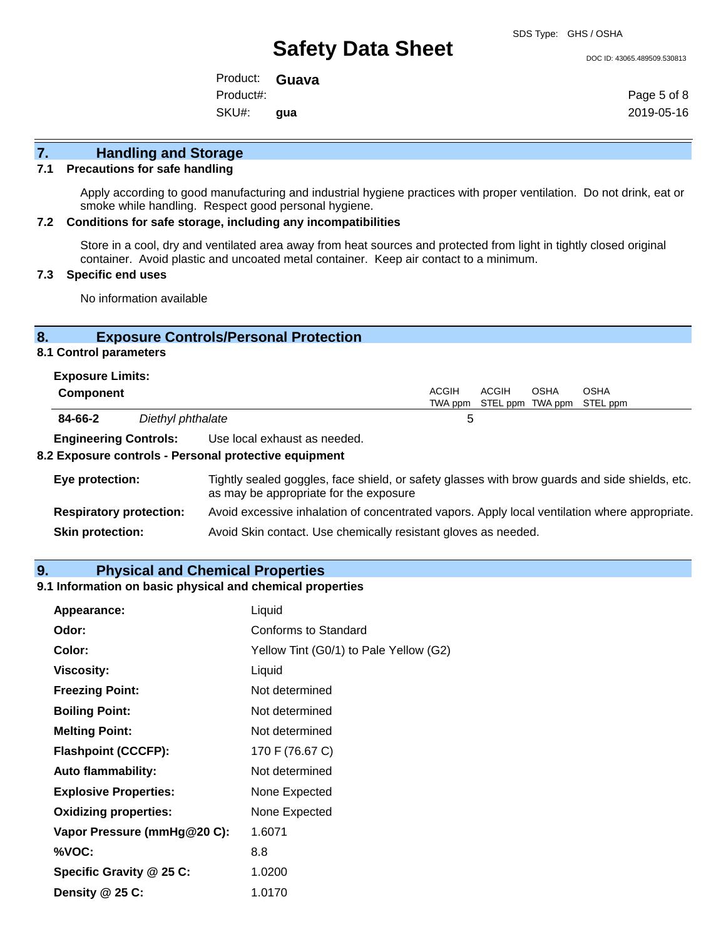SDS Type: GHS / OSHA

DOC ID: 43065.489509.530813

Product: **Guava** SKU#: Product#: **gua**

Page 5 of 8 2019-05-16

# **7. Handling and Storage**

#### **7.1 Precautions for safe handling**

Apply according to good manufacturing and industrial hygiene practices with proper ventilation. Do not drink, eat or smoke while handling. Respect good personal hygiene.

### **7.2 Conditions for safe storage, including any incompatibilities**

Store in a cool, dry and ventilated area away from heat sources and protected from light in tightly closed original container. Avoid plastic and uncoated metal container. Keep air contact to a minimum.

### **7.3 Specific end uses**

No information available

# **8. Exposure Controls/Personal Protection**

### **8.1 Control parameters**

| <b>Exposure Limits:</b><br><b>Component</b> |  |                              | <b>ACGIH</b> | ACGIH                             | OSHA | <b>OSHA</b> |  |
|---------------------------------------------|--|------------------------------|--------------|-----------------------------------|------|-------------|--|
|                                             |  |                              |              | TWA ppm STEL ppm TWA ppm STEL ppm |      |             |  |
| 84-66-2<br>Diethyl phthalate                |  |                              | 5            |                                   |      |             |  |
| <b>Engineering Controls:</b>                |  | Use local exhaust as needed. |              |                                   |      |             |  |

#### **8.2 Exposure controls - Personal protective equipment**

| Eye protection:                | Tightly sealed goggles, face shield, or safety glasses with brow guards and side shields, etc.<br>as may be appropriate for the exposure |
|--------------------------------|------------------------------------------------------------------------------------------------------------------------------------------|
| <b>Respiratory protection:</b> | Avoid excessive inhalation of concentrated vapors. Apply local ventilation where appropriate.                                            |
| <b>Skin protection:</b>        | Avoid Skin contact. Use chemically resistant gloves as needed.                                                                           |

## **9. Physical and Chemical Properties**

### **9.1 Information on basic physical and chemical properties**

| Appearance:                  | Liquid                                 |
|------------------------------|----------------------------------------|
| Odor:                        | Conforms to Standard                   |
| Color:                       | Yellow Tint (G0/1) to Pale Yellow (G2) |
| <b>Viscosity:</b>            | Liquid                                 |
| <b>Freezing Point:</b>       | Not determined                         |
| <b>Boiling Point:</b>        | Not determined                         |
| <b>Melting Point:</b>        | Not determined                         |
| <b>Flashpoint (CCCFP):</b>   | 170 F (76.67 C)                        |
| <b>Auto flammability:</b>    | Not determined                         |
| <b>Explosive Properties:</b> | None Expected                          |
| <b>Oxidizing properties:</b> | None Expected                          |
| Vapor Pressure (mmHg@20 C):  | 1.6071                                 |
| %VOC:                        | 8.8                                    |
| Specific Gravity @ 25 C:     | 1.0200                                 |
| Density @ 25 C:              | 1.0170                                 |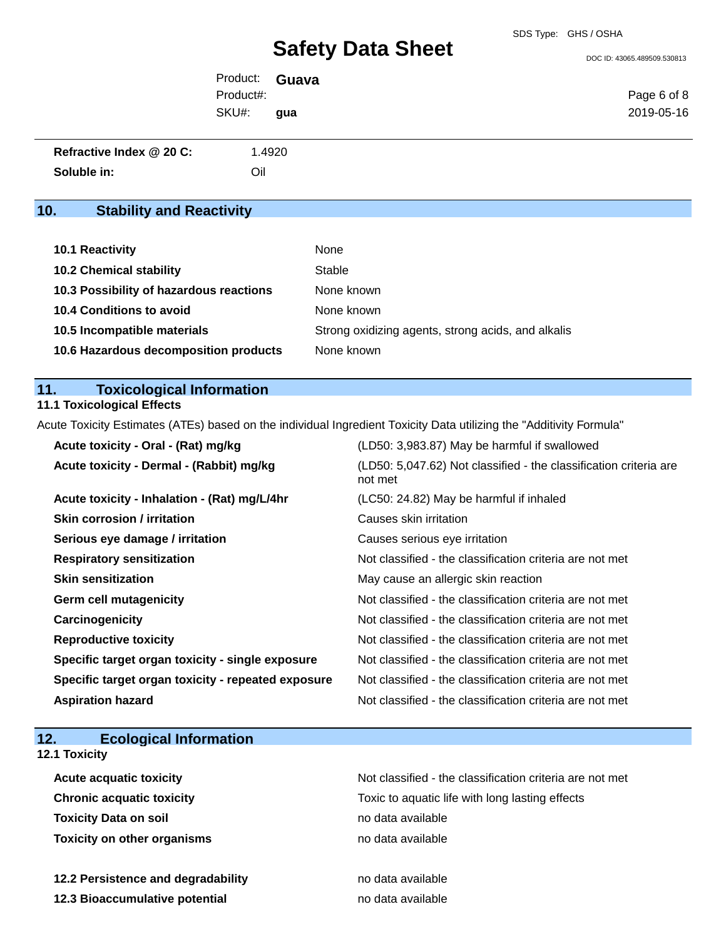DOC ID: 43065.489509.530813

| Product: <b>Guava</b> |     |             |
|-----------------------|-----|-------------|
| Product#:             |     | Page 6 of 8 |
| SKU#:                 | qua | 2019-05-16  |

| Refractive Index @ 20 C: | 1.4920 |
|--------------------------|--------|
| Soluble in:              | Oil    |

# **10. Stability and Reactivity**

| <b>10.1 Reactivity</b>                  | None                                               |
|-----------------------------------------|----------------------------------------------------|
| <b>10.2 Chemical stability</b>          | Stable                                             |
| 10.3 Possibility of hazardous reactions | None known                                         |
| <b>10.4 Conditions to avoid</b>         | None known                                         |
| 10.5 Incompatible materials             | Strong oxidizing agents, strong acids, and alkalis |
| 10.6 Hazardous decomposition products   | None known                                         |

# **11. Toxicological Information**

# **11.1 Toxicological Effects**

Acute Toxicity Estimates (ATEs) based on the individual Ingredient Toxicity Data utilizing the "Additivity Formula"

| Acute toxicity - Oral - (Rat) mg/kg                | (LD50: 3,983.87) May be harmful if swallowed                                 |
|----------------------------------------------------|------------------------------------------------------------------------------|
| Acute toxicity - Dermal - (Rabbit) mg/kg           | (LD50: 5,047.62) Not classified - the classification criteria are<br>not met |
| Acute toxicity - Inhalation - (Rat) mg/L/4hr       | (LC50: 24.82) May be harmful if inhaled                                      |
| <b>Skin corrosion / irritation</b>                 | Causes skin irritation                                                       |
| Serious eye damage / irritation                    | Causes serious eye irritation                                                |
| <b>Respiratory sensitization</b>                   | Not classified - the classification criteria are not met                     |
| <b>Skin sensitization</b>                          | May cause an allergic skin reaction                                          |
| <b>Germ cell mutagenicity</b>                      | Not classified - the classification criteria are not met                     |
| Carcinogenicity                                    | Not classified - the classification criteria are not met                     |
| <b>Reproductive toxicity</b>                       | Not classified - the classification criteria are not met                     |
| Specific target organ toxicity - single exposure   | Not classified - the classification criteria are not met                     |
| Specific target organ toxicity - repeated exposure | Not classified - the classification criteria are not met                     |
| <b>Aspiration hazard</b>                           | Not classified - the classification criteria are not met                     |

| 12.<br><b>Ecological Information</b> |                                                          |
|--------------------------------------|----------------------------------------------------------|
| 12.1 Toxicity                        |                                                          |
| <b>Acute acquatic toxicity</b>       | Not classified - the classification criteria are not met |
| <b>Chronic acquatic toxicity</b>     | Toxic to aquatic life with long lasting effects          |
| <b>Toxicity Data on soil</b>         | no data available                                        |
| <b>Toxicity on other organisms</b>   | no data available                                        |
| 12.2 Persistence and degradability   | no data available                                        |
| 12.3 Bioaccumulative potential       | no data available                                        |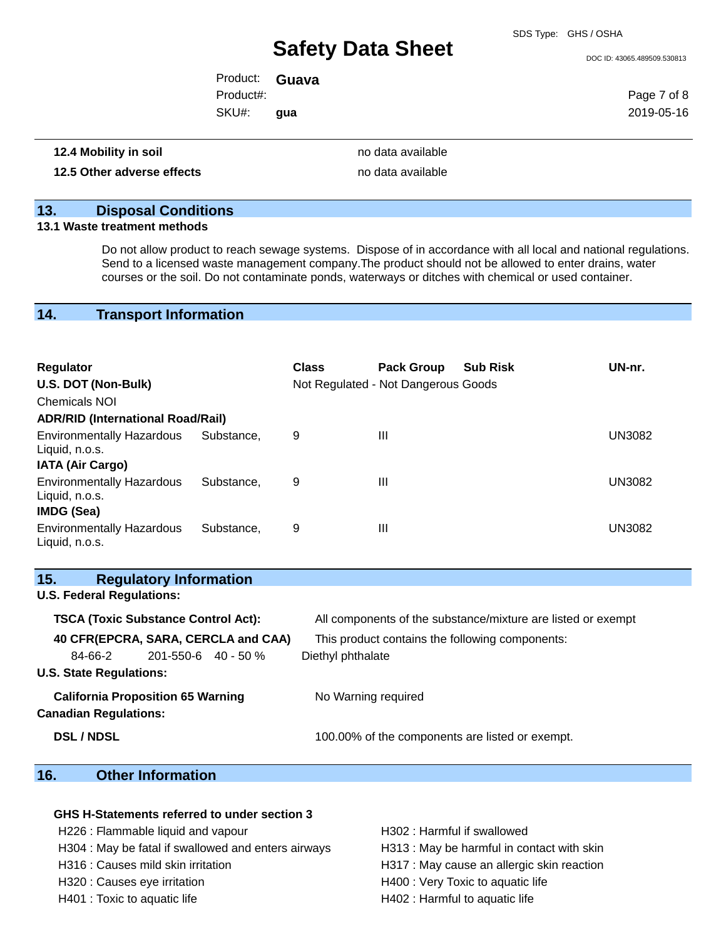SDS Type: GHS / OSHA

DOC ID: 43065.489509.530813

Product: **Guava** SKU#: Product#: **gua**

Page 7 of 8 2019-05-16

### **12.4 Mobility in soil 12.4 Mobility in soil**

#### **12.5 Other adverse effects no data available no data available**

# **13. Disposal Conditions**

### **13.1 Waste treatment methods**

Do not allow product to reach sewage systems. Dispose of in accordance with all local and national regulations. Send to a licensed waste management company.The product should not be allowed to enter drains, water courses or the soil. Do not contaminate ponds, waterways or ditches with chemical or used container.

## **14. Transport Information**

| <b>Regulator</b><br>U.S. DOT (Non-Bulk)            |            | <b>Class</b> | <b>Pack Group</b><br>Not Regulated - Not Dangerous Goods | <b>Sub Risk</b> | UN-nr.        |
|----------------------------------------------------|------------|--------------|----------------------------------------------------------|-----------------|---------------|
| <b>Chemicals NOI</b>                               |            |              |                                                          |                 |               |
| <b>ADR/RID (International Road/Rail)</b>           |            |              |                                                          |                 |               |
| <b>Environmentally Hazardous</b><br>Liquid, n.o.s. | Substance. | 9            | Ш                                                        |                 | <b>UN3082</b> |
| <b>IATA (Air Cargo)</b>                            |            |              |                                                          |                 |               |
| <b>Environmentally Hazardous</b><br>Liquid, n.o.s. | Substance. | 9            | Ш                                                        |                 | <b>UN3082</b> |
| IMDG (Sea)                                         |            |              |                                                          |                 |               |
| <b>Environmentally Hazardous</b><br>Liquid, n.o.s. | Substance. | 9            | Ш                                                        |                 | <b>UN3082</b> |

| 15.                              | <b>Regulatory Information</b>              |                                                              |
|----------------------------------|--------------------------------------------|--------------------------------------------------------------|
| <b>U.S. Federal Regulations:</b> |                                            |                                                              |
|                                  | <b>TSCA (Toxic Substance Control Act):</b> | All components of the substance/mixture are listed or exempt |
|                                  | 40 CFR(EPCRA, SARA, CERCLA and CAA)        | This product contains the following components:              |
| 84-66-2                          | $201 - 550 - 6$ 40 - 50 %                  | Diethyl phthalate                                            |
| <b>U.S. State Regulations:</b>   |                                            |                                                              |
|                                  | <b>California Proposition 65 Warning</b>   | No Warning required                                          |
| <b>Canadian Regulations:</b>     |                                            |                                                              |
| <b>DSL/NDSL</b>                  |                                            | 100.00% of the components are listed or exempt.              |

# **16. Other Information**

### **GHS H-Statements referred to under section 3**

H226 : Flammable liquid and vapour H302 : Harmful if swallowed

- 
- H304 : May be fatal if swallowed and enters airways **H313** : May be harmful in contact with skin H316 : Causes mild skin irritation **H317** : May cause an allergic skin reaction H320 : Causes eye irritation **H400** : Very Toxic to aquatic life H401 : Toxic to aquatic life H402 : Harmful to aquatic life